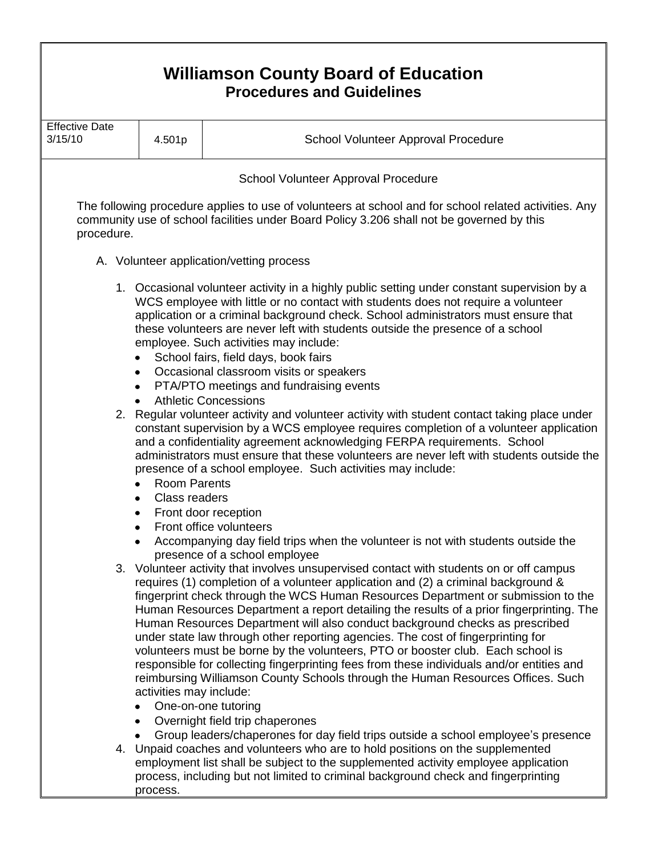| <b>Williamson County Board of Education</b><br><b>Procedures and Guidelines</b> |                                                                                                                                                                                                                                                                                                                                                                                                                                                                                                                                                                                                                                                                                                                                                                                                                                                                                                                                                                                                                                                                                                                                                                                                                                                                                                                                                                                |                                                                                                                                                                                                                                                                                                                                                                                                                                                                                                                                                                                                                                                                                                                                                                                                                                                                                                                                                                                                                                                     |  |  |
|---------------------------------------------------------------------------------|--------------------------------------------------------------------------------------------------------------------------------------------------------------------------------------------------------------------------------------------------------------------------------------------------------------------------------------------------------------------------------------------------------------------------------------------------------------------------------------------------------------------------------------------------------------------------------------------------------------------------------------------------------------------------------------------------------------------------------------------------------------------------------------------------------------------------------------------------------------------------------------------------------------------------------------------------------------------------------------------------------------------------------------------------------------------------------------------------------------------------------------------------------------------------------------------------------------------------------------------------------------------------------------------------------------------------------------------------------------------------------|-----------------------------------------------------------------------------------------------------------------------------------------------------------------------------------------------------------------------------------------------------------------------------------------------------------------------------------------------------------------------------------------------------------------------------------------------------------------------------------------------------------------------------------------------------------------------------------------------------------------------------------------------------------------------------------------------------------------------------------------------------------------------------------------------------------------------------------------------------------------------------------------------------------------------------------------------------------------------------------------------------------------------------------------------------|--|--|
| <b>Effective Date</b><br>3/15/10                                                | 4.501p                                                                                                                                                                                                                                                                                                                                                                                                                                                                                                                                                                                                                                                                                                                                                                                                                                                                                                                                                                                                                                                                                                                                                                                                                                                                                                                                                                         | School Volunteer Approval Procedure                                                                                                                                                                                                                                                                                                                                                                                                                                                                                                                                                                                                                                                                                                                                                                                                                                                                                                                                                                                                                 |  |  |
| School Volunteer Approval Procedure                                             |                                                                                                                                                                                                                                                                                                                                                                                                                                                                                                                                                                                                                                                                                                                                                                                                                                                                                                                                                                                                                                                                                                                                                                                                                                                                                                                                                                                |                                                                                                                                                                                                                                                                                                                                                                                                                                                                                                                                                                                                                                                                                                                                                                                                                                                                                                                                                                                                                                                     |  |  |
| procedure.                                                                      |                                                                                                                                                                                                                                                                                                                                                                                                                                                                                                                                                                                                                                                                                                                                                                                                                                                                                                                                                                                                                                                                                                                                                                                                                                                                                                                                                                                | The following procedure applies to use of volunteers at school and for school related activities. Any<br>community use of school facilities under Board Policy 3.206 shall not be governed by this                                                                                                                                                                                                                                                                                                                                                                                                                                                                                                                                                                                                                                                                                                                                                                                                                                                  |  |  |
| A. Volunteer application/vetting process                                        |                                                                                                                                                                                                                                                                                                                                                                                                                                                                                                                                                                                                                                                                                                                                                                                                                                                                                                                                                                                                                                                                                                                                                                                                                                                                                                                                                                                |                                                                                                                                                                                                                                                                                                                                                                                                                                                                                                                                                                                                                                                                                                                                                                                                                                                                                                                                                                                                                                                     |  |  |
| $\bullet$<br>$\bullet$                                                          | $\bullet$<br><b>Room Parents</b><br>Class readers<br>٠                                                                                                                                                                                                                                                                                                                                                                                                                                                                                                                                                                                                                                                                                                                                                                                                                                                                                                                                                                                                                                                                                                                                                                                                                                                                                                                         | 1. Occasional volunteer activity in a highly public setting under constant supervision by a<br>WCS employee with little or no contact with students does not require a volunteer<br>application or a criminal background check. School administrators must ensure that<br>these volunteers are never left with students outside the presence of a school<br>employee. Such activities may include:<br>School fairs, field days, book fairs<br>Occasional classroom visits or speakers<br>PTA/PTO meetings and fundraising events<br><b>Athletic Concessions</b><br>2. Regular volunteer activity and volunteer activity with student contact taking place under<br>constant supervision by a WCS employee requires completion of a volunteer application<br>and a confidentiality agreement acknowledging FERPA requirements. School<br>administrators must ensure that these volunteers are never left with students outside the<br>presence of a school employee. Such activities may include:<br>Front door reception<br>Front office volunteers |  |  |
|                                                                                 | Accompanying day field trips when the volunteer is not with students outside the<br>presence of a school employee<br>3. Volunteer activity that involves unsupervised contact with students on or off campus<br>requires (1) completion of a volunteer application and (2) a criminal background &<br>fingerprint check through the WCS Human Resources Department or submission to the<br>Human Resources Department a report detailing the results of a prior fingerprinting. The<br>Human Resources Department will also conduct background checks as prescribed<br>under state law through other reporting agencies. The cost of fingerprinting for<br>volunteers must be borne by the volunteers, PTO or booster club. Each school is<br>responsible for collecting fingerprinting fees from these individuals and/or entities and<br>reimbursing Williamson County Schools through the Human Resources Offices. Such<br>activities may include:<br>One-on-one tutoring<br>Overnight field trip chaperones<br>Group leaders/chaperones for day field trips outside a school employee's presence<br>4. Unpaid coaches and volunteers who are to hold positions on the supplemented<br>employment list shall be subject to the supplemented activity employee application<br>process, including but not limited to criminal background check and fingerprinting<br>process. |                                                                                                                                                                                                                                                                                                                                                                                                                                                                                                                                                                                                                                                                                                                                                                                                                                                                                                                                                                                                                                                     |  |  |